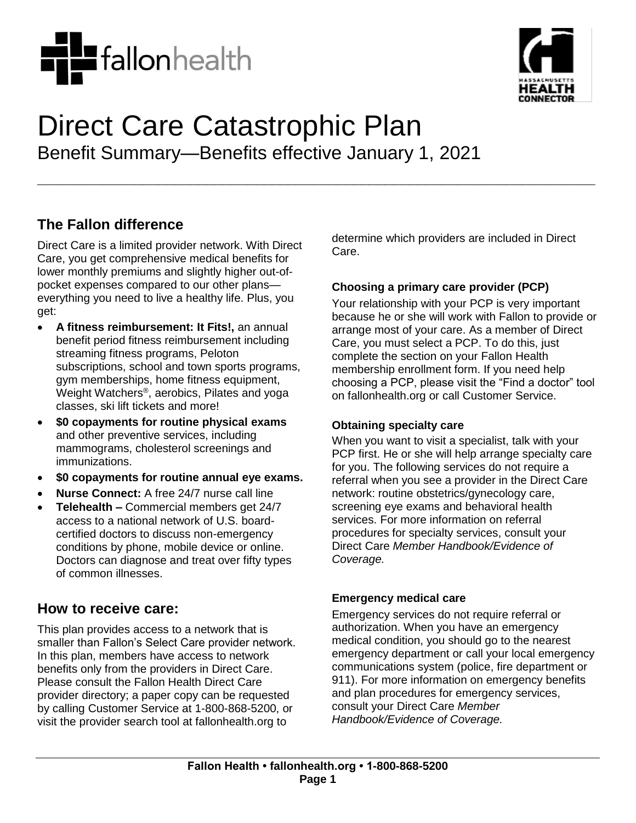



# Direct Care Catastrophic Plan Benefit Summary—Benefits effective January 1, 2021

**\_\_\_\_\_\_\_\_\_\_\_\_\_\_\_\_\_\_\_\_\_\_\_\_\_\_\_\_\_\_\_\_\_\_\_\_\_\_\_\_\_\_\_\_\_\_\_\_\_\_\_\_\_\_\_\_\_\_\_\_\_\_\_\_\_\_\_\_\_**

# **The Fallon difference**

Direct Care is a limited provider network. With Direct Care, you get comprehensive medical benefits for lower monthly premiums and slightly higher out-ofpocket expenses compared to our other plans everything you need to live a healthy life. Plus, you get:

- **A fitness reimbursement: It Fits!,** an annual benefit period fitness reimbursement including streaming fitness programs, Peloton subscriptions, school and town sports programs, gym memberships, home fitness equipment, Weight Watchers® , aerobics, Pilates and yoga classes, ski lift tickets and more!
- **\$0 copayments for routine physical exams** and other preventive services, including mammograms, cholesterol screenings and immunizations.
- **\$0 copayments for routine annual eye exams.**
- **Nurse Connect:** A free 24/7 nurse call line
- **Telehealth –** Commercial members get 24/7 access to a national network of U.S. boardcertified doctors to discuss non-emergency conditions by phone, mobile device or online. Doctors can diagnose and treat over fifty types of common illnesses.

## **How to receive care:**

This plan provides access to a network that is smaller than Fallon's Select Care provider network. In this plan, members have access to network benefits only from the providers in Direct Care. Please consult the Fallon Health Direct Care provider directory; a paper copy can be requested by calling Customer Service at 1-800-868-5200, or visit the provider search tool at fallonhealth.org to

determine which providers are included in Direct Care.

## **Choosing a primary care provider (PCP)**

Your relationship with your PCP is very important because he or she will work with Fallon to provide or arrange most of your care. As a member of Direct Care, you must select a PCP. To do this, just complete the section on your Fallon Health membership enrollment form. If you need help choosing a PCP, please visit the "Find a doctor" tool on fallonhealth.org or call Customer Service.

#### **Obtaining specialty care**

When you want to visit a specialist, talk with your PCP first. He or she will help arrange specialty care for you. The following services do not require a referral when you see a provider in the Direct Care network: routine obstetrics/gynecology care, screening eye exams and behavioral health services. For more information on referral procedures for specialty services, consult your Direct Care *Member Handbook/Evidence of Coverage.* 

## **Emergency medical care**

Emergency services do not require referral or authorization. When you have an emergency medical condition, you should go to the nearest emergency department or call your local emergency communications system (police, fire department or 911). For more information on emergency benefits and plan procedures for emergency services, consult your Direct Care *Member Handbook/Evidence of Coverage.*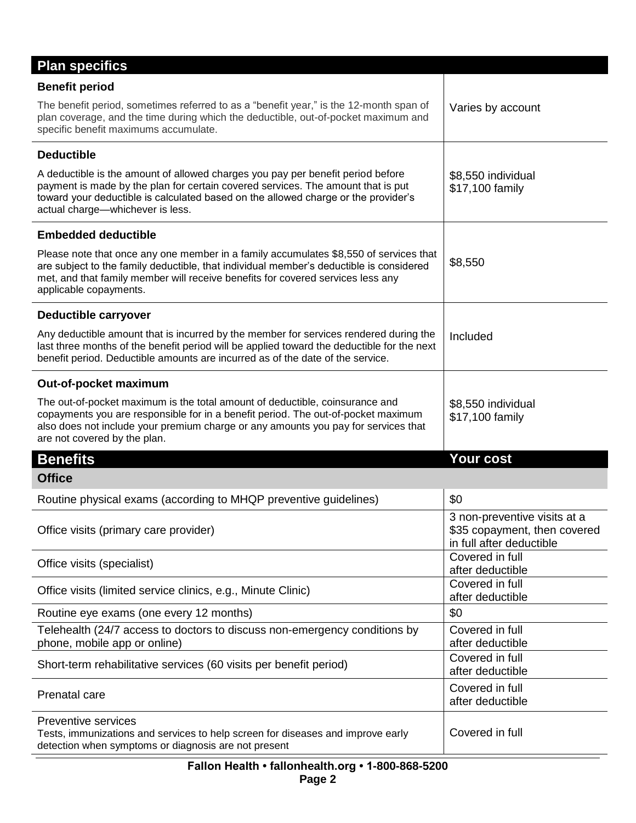| <b>Plan specifics</b>                                                                                                                                                                                                                                                                         |                                                                                          |
|-----------------------------------------------------------------------------------------------------------------------------------------------------------------------------------------------------------------------------------------------------------------------------------------------|------------------------------------------------------------------------------------------|
| <b>Benefit period</b>                                                                                                                                                                                                                                                                         |                                                                                          |
| The benefit period, sometimes referred to as a "benefit year," is the 12-month span of<br>plan coverage, and the time during which the deductible, out-of-pocket maximum and<br>specific benefit maximums accumulate.                                                                         | Varies by account                                                                        |
| <b>Deductible</b>                                                                                                                                                                                                                                                                             |                                                                                          |
| A deductible is the amount of allowed charges you pay per benefit period before<br>payment is made by the plan for certain covered services. The amount that is put<br>toward your deductible is calculated based on the allowed charge or the provider's<br>actual charge-whichever is less. | \$8,550 individual<br>\$17,100 family                                                    |
| <b>Embedded deductible</b>                                                                                                                                                                                                                                                                    |                                                                                          |
| Please note that once any one member in a family accumulates \$8,550 of services that<br>are subject to the family deductible, that individual member's deductible is considered<br>met, and that family member will receive benefits for covered services less any<br>applicable copayments. | \$8,550                                                                                  |
| Deductible carryover                                                                                                                                                                                                                                                                          |                                                                                          |
| Any deductible amount that is incurred by the member for services rendered during the<br>last three months of the benefit period will be applied toward the deductible for the next<br>benefit period. Deductible amounts are incurred as of the date of the service.                         | Included                                                                                 |
| Out-of-pocket maximum                                                                                                                                                                                                                                                                         |                                                                                          |
| The out-of-pocket maximum is the total amount of deductible, coinsurance and<br>copayments you are responsible for in a benefit period. The out-of-pocket maximum<br>also does not include your premium charge or any amounts you pay for services that<br>are not covered by the plan.       | \$8,550 individual<br>\$17,100 family                                                    |
| <b>Benefits</b>                                                                                                                                                                                                                                                                               | <b>Your cost</b>                                                                         |
| <b>Office</b>                                                                                                                                                                                                                                                                                 |                                                                                          |
| Routine physical exams (according to MHQP preventive guidelines)                                                                                                                                                                                                                              | \$0                                                                                      |
| Office visits (primary care provider)                                                                                                                                                                                                                                                         | 3 non-preventive visits at a<br>\$35 copayment, then covered<br>in full after deductible |
| Office visits (specialist)                                                                                                                                                                                                                                                                    | Covered in full<br>after deductible                                                      |
| Office visits (limited service clinics, e.g., Minute Clinic)                                                                                                                                                                                                                                  | Covered in full<br>after deductible                                                      |
| Routine eye exams (one every 12 months)                                                                                                                                                                                                                                                       | \$0                                                                                      |
| Telehealth (24/7 access to doctors to discuss non-emergency conditions by<br>phone, mobile app or online)                                                                                                                                                                                     | Covered in full<br>after deductible                                                      |
| Short-term rehabilitative services (60 visits per benefit period)                                                                                                                                                                                                                             | Covered in full<br>after deductible                                                      |
| Prenatal care                                                                                                                                                                                                                                                                                 | Covered in full<br>after deductible                                                      |
| <b>Preventive services</b><br>Tests, immunizations and services to help screen for diseases and improve early<br>detection when symptoms or diagnosis are not present                                                                                                                         | Covered in full                                                                          |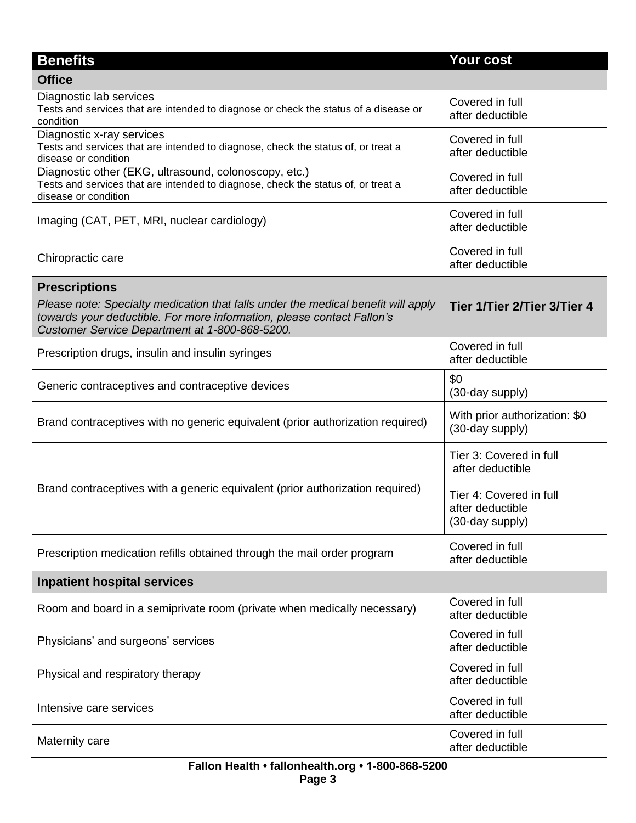| <b>Benefits</b>                                                                                                                                                                                               | <b>Your cost</b>                                               |  |
|---------------------------------------------------------------------------------------------------------------------------------------------------------------------------------------------------------------|----------------------------------------------------------------|--|
| <b>Office</b>                                                                                                                                                                                                 |                                                                |  |
| Diagnostic lab services<br>Tests and services that are intended to diagnose or check the status of a disease or<br>condition                                                                                  | Covered in full<br>after deductible                            |  |
| Diagnostic x-ray services<br>Tests and services that are intended to diagnose, check the status of, or treat a<br>disease or condition                                                                        | Covered in full<br>after deductible                            |  |
| Diagnostic other (EKG, ultrasound, colonoscopy, etc.)<br>Tests and services that are intended to diagnose, check the status of, or treat a<br>disease or condition                                            | Covered in full<br>after deductible                            |  |
| Imaging (CAT, PET, MRI, nuclear cardiology)                                                                                                                                                                   | Covered in full<br>after deductible                            |  |
| Chiropractic care                                                                                                                                                                                             | Covered in full<br>after deductible                            |  |
| <b>Prescriptions</b>                                                                                                                                                                                          |                                                                |  |
| Please note: Specialty medication that falls under the medical benefit will apply<br>towards your deductible. For more information, please contact Fallon's<br>Customer Service Department at 1-800-868-5200. | Tier 1/Tier 2/Tier 3/Tier 4                                    |  |
| Prescription drugs, insulin and insulin syringes                                                                                                                                                              | Covered in full<br>after deductible                            |  |
| Generic contraceptives and contraceptive devices                                                                                                                                                              | \$0<br>(30-day supply)                                         |  |
| Brand contraceptives with no generic equivalent (prior authorization required)                                                                                                                                | With prior authorization: \$0<br>(30-day supply)               |  |
| Brand contraceptives with a generic equivalent (prior authorization required)                                                                                                                                 | Tier 3: Covered in full<br>after deductible                    |  |
|                                                                                                                                                                                                               | Tier 4: Covered in full<br>after deductible<br>(30-day supply) |  |
| Prescription medication refills obtained through the mail order program                                                                                                                                       | Covered in full<br>after deductible                            |  |
| <b>Inpatient hospital services</b>                                                                                                                                                                            |                                                                |  |
| Room and board in a semiprivate room (private when medically necessary)                                                                                                                                       | Covered in full<br>after deductible                            |  |
| Physicians' and surgeons' services                                                                                                                                                                            | Covered in full<br>after deductible                            |  |
| Physical and respiratory therapy                                                                                                                                                                              | Covered in full<br>after deductible                            |  |
| Intensive care services                                                                                                                                                                                       | Covered in full<br>after deductible                            |  |
| Maternity care                                                                                                                                                                                                | Covered in full<br>after deductible                            |  |
| Eallon Hoalth . fallonhoalth org . 1-800-868-5200                                                                                                                                                             |                                                                |  |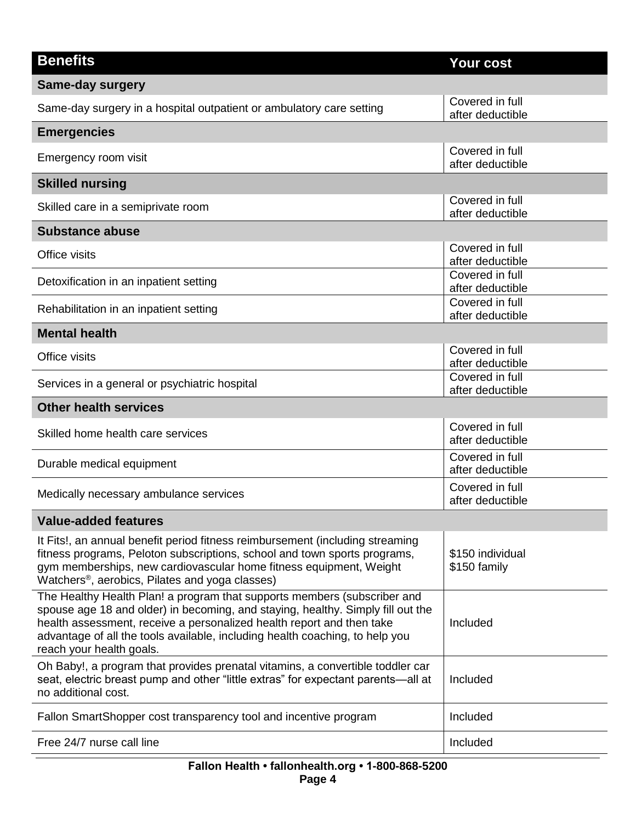| <b>Benefits</b>                                                                                                                                                                                                                                                                                                                                  | Your cost                           |
|--------------------------------------------------------------------------------------------------------------------------------------------------------------------------------------------------------------------------------------------------------------------------------------------------------------------------------------------------|-------------------------------------|
| <b>Same-day surgery</b>                                                                                                                                                                                                                                                                                                                          |                                     |
| Same-day surgery in a hospital outpatient or ambulatory care setting                                                                                                                                                                                                                                                                             | Covered in full<br>after deductible |
| <b>Emergencies</b>                                                                                                                                                                                                                                                                                                                               |                                     |
| Emergency room visit                                                                                                                                                                                                                                                                                                                             | Covered in full<br>after deductible |
| <b>Skilled nursing</b>                                                                                                                                                                                                                                                                                                                           |                                     |
| Skilled care in a semiprivate room                                                                                                                                                                                                                                                                                                               | Covered in full<br>after deductible |
| <b>Substance abuse</b>                                                                                                                                                                                                                                                                                                                           |                                     |
| Office visits                                                                                                                                                                                                                                                                                                                                    | Covered in full<br>after deductible |
| Detoxification in an inpatient setting                                                                                                                                                                                                                                                                                                           | Covered in full<br>after deductible |
| Rehabilitation in an inpatient setting                                                                                                                                                                                                                                                                                                           | Covered in full<br>after deductible |
| <b>Mental health</b>                                                                                                                                                                                                                                                                                                                             |                                     |
| Office visits                                                                                                                                                                                                                                                                                                                                    | Covered in full<br>after deductible |
| Services in a general or psychiatric hospital                                                                                                                                                                                                                                                                                                    | Covered in full<br>after deductible |
| <b>Other health services</b>                                                                                                                                                                                                                                                                                                                     |                                     |
| Skilled home health care services                                                                                                                                                                                                                                                                                                                | Covered in full<br>after deductible |
| Durable medical equipment                                                                                                                                                                                                                                                                                                                        | Covered in full<br>after deductible |
| Medically necessary ambulance services                                                                                                                                                                                                                                                                                                           | Covered in full<br>after deductible |
| <b>Value-added features</b>                                                                                                                                                                                                                                                                                                                      |                                     |
| It Fits!, an annual benefit period fitness reimbursement (including streaming<br>fitness programs, Peloton subscriptions, school and town sports programs,<br>gym memberships, new cardiovascular home fitness equipment, Weight<br>Watchers <sup>®</sup> , aerobics, Pilates and yoga classes)                                                  | \$150 individual<br>\$150 family    |
| The Healthy Health Plan! a program that supports members (subscriber and<br>spouse age 18 and older) in becoming, and staying, healthy. Simply fill out the<br>health assessment, receive a personalized health report and then take<br>advantage of all the tools available, including health coaching, to help you<br>reach your health goals. | Included                            |
| Oh Baby!, a program that provides prenatal vitamins, a convertible toddler car<br>seat, electric breast pump and other "little extras" for expectant parents-all at<br>no additional cost.                                                                                                                                                       | Included                            |
| Fallon SmartShopper cost transparency tool and incentive program                                                                                                                                                                                                                                                                                 | Included                            |
| Free 24/7 nurse call line                                                                                                                                                                                                                                                                                                                        | Included                            |
|                                                                                                                                                                                                                                                                                                                                                  |                                     |